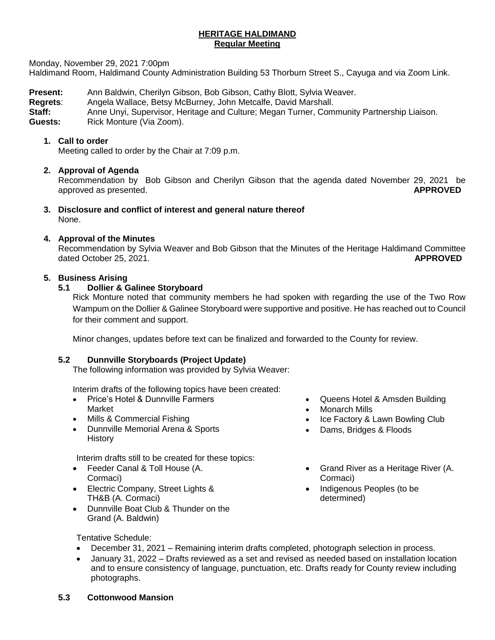## **HERITAGE HALDIMAND Regular Meeting**

Monday, November 29, 2021 7:00pm

Haldimand Room, Haldimand County Administration Building 53 Thorburn Street S., Cayuga and via Zoom Link.

**Present:** Ann Baldwin, Cherilyn Gibson, Bob Gibson, Cathy Blott, Sylvia Weaver.<br>**Regrets:** Angela Wallace, Betsy McBurney, John Metcalfe, David Marshall.

**Regrets**: Angela Wallace, Betsy McBurney, John Metcalfe, David Marshall.

**Staff:** Anne Unyi, Supervisor, Heritage and Culture; Megan Turner, Community Partnership Liaison.

Guests: Rick Monture (Via Zoom).

## **1. Call to order**

Meeting called to order by the Chair at 7:09 p.m.

# **2. Approval of Agenda**

Recommendation by Bob Gibson and Cherilyn Gibson that the agenda dated November 29, 2021 be approved as presented. **APPROVED**

**3. Disclosure and conflict of interest and general nature thereof** None.

## **4. Approval of the Minutes**

Recommendation by Sylvia Weaver and Bob Gibson that the Minutes of the Heritage Haldimand Committee dated October 25, 2021. **APPROVED**

## **5. Business Arising**

## **5.1 Dollier & Galinee Storyboard**

Rick Monture noted that community members he had spoken with regarding the use of the Two Row Wampum on the Dollier & Galinee Storyboard were supportive and positive. He has reached out to Council for their comment and support.

Minor changes, updates before text can be finalized and forwarded to the County for review.

#### **5.2 Dunnville Storyboards (Project Update)**

The following information was provided by Sylvia Weaver:

Interim drafts of the following topics have been created:

- Price's Hotel & Dunnville Farmers Market
- Mills & Commercial Fishing
- Dunnville Memorial Arena & Sports **History**

Interim drafts still to be created for these topics:

- Feeder Canal & Toll House (A. Cormaci)
- Electric Company, Street Lights & TH&B (A. Cormaci)
- Dunnville Boat Club & Thunder on the Grand (A. Baldwin)
- Queens Hotel & Amsden Building
- Monarch Mills
- Ice Factory & Lawn Bowling Club
- Dams, Bridges & Floods
- Grand River as a Heritage River (A. Cormaci)
- Indigenous Peoples (to be determined)

Tentative Schedule:

- December 31, 2021 Remaining interim drafts completed, photograph selection in process.
- January 31, 2022 Drafts reviewed as a set and revised as needed based on installation location and to ensure consistency of language, punctuation, etc. Drafts ready for County review including photographs.
- **5.3 Cottonwood Mansion**